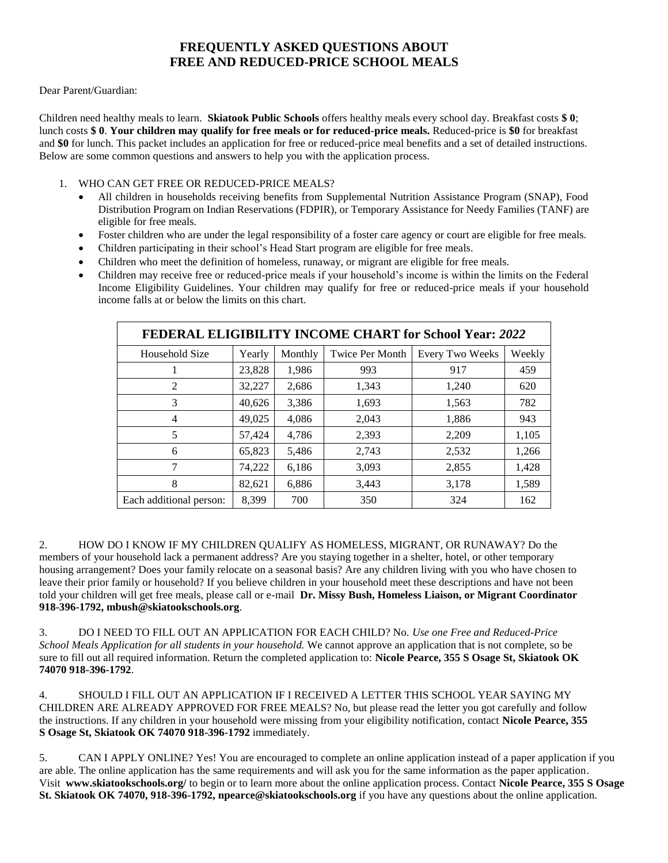### **FREQUENTLY ASKED QUESTIONS ABOUT FREE AND REDUCED-PRICE SCHOOL MEALS**

Dear Parent/Guardian:

Children need healthy meals to learn. **Skiatook Public Schools** offers healthy meals every school day. Breakfast costs **\$ 0**; lunch costs **\$ 0**. **Your children may qualify for free meals or for reduced-price meals.** Reduced-price is **\$0** for breakfast and **\$0** for lunch. This packet includes an application for free or reduced-price meal benefits and a set of detailed instructions. Below are some common questions and answers to help you with the application process.

- 1. WHO CAN GET FREE OR REDUCED-PRICE MEALS?
	- All children in households receiving benefits from Supplemental Nutrition Assistance Program (SNAP), Food Distribution Program on Indian Reservations (FDPIR), or Temporary Assistance for Needy Families (TANF) are eligible for free meals.
	- Foster children who are under the legal responsibility of a foster care agency or court are eligible for free meals.
	- Children participating in their school's Head Start program are eligible for free meals.
	- Children who meet the definition of homeless, runaway, or migrant are eligible for free meals.
	- Children may receive free or reduced-price meals if your household's income is within the limits on the Federal Income Eligibility Guidelines. Your children may qualify for free or reduced-price meals if your household income falls at or below the limits on this chart.

| <b>FEDERAL ELIGIBILITY INCOME CHART for School Year: 2022</b> |        |         |                        |                        |        |
|---------------------------------------------------------------|--------|---------|------------------------|------------------------|--------|
| Household Size                                                | Yearly | Monthly | <b>Twice Per Month</b> | <b>Every Two Weeks</b> | Weekly |
|                                                               | 23,828 | 1,986   | 993                    | 917                    | 459    |
| $\overline{2}$                                                | 32,227 | 2,686   | 1,343                  | 1,240                  | 620    |
| 3                                                             | 40,626 | 3,386   | 1,693                  | 1,563                  | 782    |
| $\overline{4}$                                                | 49,025 | 4,086   | 2,043                  | 1,886                  | 943    |
| 5                                                             | 57,424 | 4,786   | 2,393                  | 2,209                  | 1,105  |
| 6                                                             | 65,823 | 5,486   | 2,743                  | 2,532                  | 1,266  |
| 7                                                             | 74,222 | 6,186   | 3,093                  | 2,855                  | 1,428  |
| 8                                                             | 82,621 | 6,886   | 3,443                  | 3,178                  | 1,589  |
| Each additional person:                                       | 8.399  | 700     | 350                    | 324                    | 162    |

2. HOW DO I KNOW IF MY CHILDREN QUALIFY AS HOMELESS, MIGRANT, OR RUNAWAY? Do the members of your household lack a permanent address? Are you staying together in a shelter, hotel, or other temporary housing arrangement? Does your family relocate on a seasonal basis? Are any children living with you who have chosen to leave their prior family or household? If you believe children in your household meet these descriptions and have not been told your children will get free meals, please call or e-mail **Dr. Missy Bush, Homeless Liaison, or Migrant Coordinator 918-396-1792, mbush@skiatookschools.org**.

3. DO I NEED TO FILL OUT AN APPLICATION FOR EACH CHILD? No. *Use one Free and Reduced-Price School Meals Application for all students in your household.* We cannot approve an application that is not complete, so be sure to fill out all required information. Return the completed application to: **Nicole Pearce, 355 S Osage St, Skiatook OK 74070 918-396-1792**.

4. SHOULD I FILL OUT AN APPLICATION IF I RECEIVED A LETTER THIS SCHOOL YEAR SAYING MY CHILDREN ARE ALREADY APPROVED FOR FREE MEALS? No, but please read the letter you got carefully and follow the instructions. If any children in your household were missing from your eligibility notification, contact **Nicole Pearce, 355 S Osage St, Skiatook OK 74070 918-396-1792** immediately.

5. CAN I APPLY ONLINE? Yes! You are encouraged to complete an online application instead of a paper application if you are able. The online application has the same requirements and will ask you for the same information as the paper application. Visit **www.skiatookschools.org/** to begin or to learn more about the online application process. Contact **Nicole Pearce, 355 S Osage St. Skiatook OK 74070, 918-396-1792, npearce@skiatookschools.org** if you have any questions about the online application.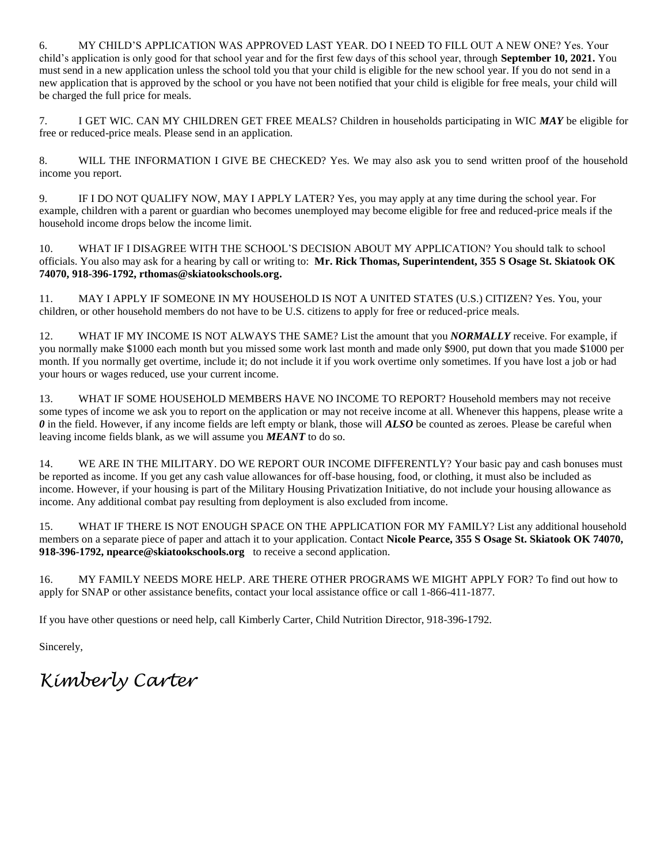6. MY CHILD'S APPLICATION WAS APPROVED LAST YEAR. DO I NEED TO FILL OUT A NEW ONE? Yes. Your child's application is only good for that school year and for the first few days of this school year, through **September 10, 2021.** You must send in a new application unless the school told you that your child is eligible for the new school year. If you do not send in a new application that is approved by the school or you have not been notified that your child is eligible for free meals, your child will be charged the full price for meals.

7. I GET WIC. CAN MY CHILDREN GET FREE MEALS? Children in households participating in WIC *MAY* be eligible for free or reduced-price meals. Please send in an application.

8. WILL THE INFORMATION I GIVE BE CHECKED? Yes. We may also ask you to send written proof of the household income you report.

9. IF I DO NOT QUALIFY NOW, MAY I APPLY LATER? Yes, you may apply at any time during the school year. For example, children with a parent or guardian who becomes unemployed may become eligible for free and reduced-price meals if the household income drops below the income limit.

10. WHAT IF I DISAGREE WITH THE SCHOOL'S DECISION ABOUT MY APPLICATION? You should talk to school officials. You also may ask for a hearing by call or writing to: **Mr. Rick Thomas, Superintendent, 355 S Osage St. Skiatook OK 74070, 918-396-1792, rthomas@skiatookschools.org.** 

11. MAY I APPLY IF SOMEONE IN MY HOUSEHOLD IS NOT A UNITED STATES (U.S.) CITIZEN? Yes. You, your children, or other household members do not have to be U.S. citizens to apply for free or reduced-price meals.

12. WHAT IF MY INCOME IS NOT ALWAYS THE SAME? List the amount that you *NORMALLY* receive. For example, if you normally make \$1000 each month but you missed some work last month and made only \$900, put down that you made \$1000 per month. If you normally get overtime, include it; do not include it if you work overtime only sometimes. If you have lost a job or had your hours or wages reduced, use your current income.

13. WHAT IF SOME HOUSEHOLD MEMBERS HAVE NO INCOME TO REPORT? Household members may not receive some types of income we ask you to report on the application or may not receive income at all. Whenever this happens, please write a *0* in the field. However, if any income fields are left empty or blank, those will *ALSO* be counted as zeroes. Please be careful when leaving income fields blank, as we will assume you *MEANT* to do so.

14. WE ARE IN THE MILITARY. DO WE REPORT OUR INCOME DIFFERENTLY? Your basic pay and cash bonuses must be reported as income. If you get any cash value allowances for off-base housing, food, or clothing, it must also be included as income. However, if your housing is part of the Military Housing Privatization Initiative, do not include your housing allowance as income. Any additional combat pay resulting from deployment is also excluded from income.

15. WHAT IF THERE IS NOT ENOUGH SPACE ON THE APPLICATION FOR MY FAMILY? List any additional household members on a separate piece of paper and attach it to your application. Contact **Nicole Pearce, 355 S Osage St. Skiatook OK 74070, 918-396-1792, npearce@skiatookschools.org** to receive a second application.

16. MY FAMILY NEEDS MORE HELP. ARE THERE OTHER PROGRAMS WE MIGHT APPLY FOR? To find out how to apply for SNAP or other assistance benefits, contact your local assistance office or call 1-866-411-1877.

If you have other questions or need help, call Kimberly Carter, Child Nutrition Director, 918-396-1792.

Sincerely,

*Kimberly Carter*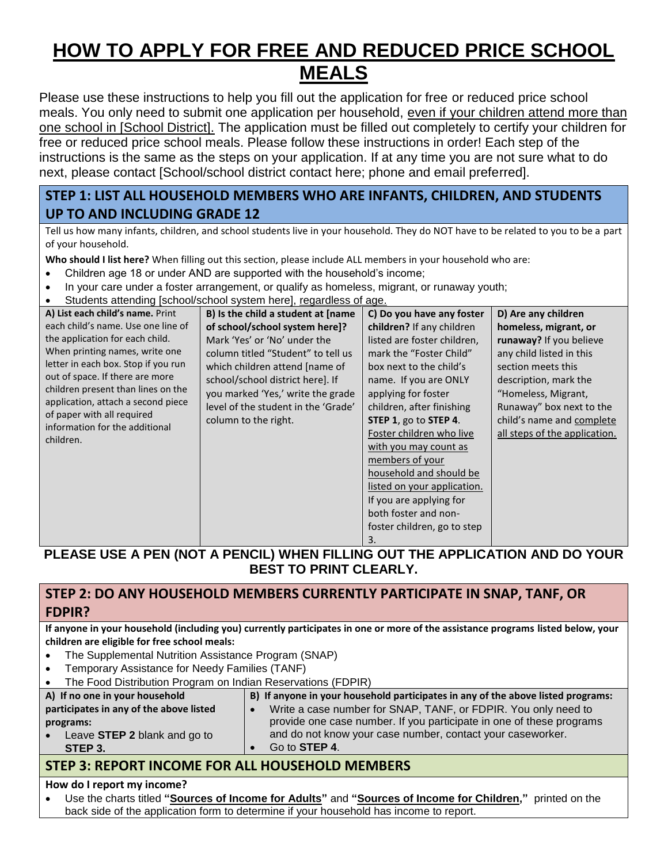# **HOW TO APPLY FOR FREE AND REDUCED PRICE SCHOOL MEALS**

Please use these instructions to help you fill out the application for free or reduced price school meals. You only need to submit one application per household, even if your children attend more than one school in [School District]. The application must be filled out completely to certify your children for free or reduced price school meals. Please follow these instructions in order! Each step of the instructions is the same as the steps on your application. If at any time you are not sure what to do next, please contact [School/school district contact here; phone and email preferred].

# **STEP 1: LIST ALL HOUSEHOLD MEMBERS WHO ARE INFANTS, CHILDREN, AND STUDENTS UP TO AND INCLUDING GRADE 12**

Tell us how many infants, children, and school students live in your household. They do NOT have to be related to you to be a part of your household.

**Who should I list here?** When filling out this section, please include ALL members in your household who are:

- Children age 18 or under AND are supported with the household's income;
- In your care under a foster arrangement, or qualify as homeless, migrant, or runaway youth;
- Students attending [school/school system here], regardless of age.

| A) List each child's name. Print                             | B) Is the child a student at [name  | C) Do you have any foster   | D) Are any children           |
|--------------------------------------------------------------|-------------------------------------|-----------------------------|-------------------------------|
| each child's name. Use one line of                           | of school/school system here]?      | children? If any children   | homeless, migrant, or         |
| the application for each child.                              | Mark 'Yes' or 'No' under the        | listed are foster children, | runaway? If you believe       |
| When printing names, write one                               | column titled "Student" to tell us  | mark the "Foster Child"     | any child listed in this      |
| letter in each box. Stop if you run                          | which children attend [name of      | box next to the child's     | section meets this            |
| out of space. If there are more                              | school/school district here]. If    | name. If you are ONLY       | description, mark the         |
| children present than lines on the                           | you marked 'Yes,' write the grade   | applying for foster         | "Homeless, Migrant,           |
| application, attach a second piece                           | level of the student in the 'Grade' | children, after finishing   | Runaway" box next to the      |
| of paper with all required<br>information for the additional | column to the right.                | STEP 1, go to STEP 4.       | child's name and complete     |
| children.                                                    |                                     | Foster children who live    | all steps of the application. |
|                                                              |                                     | with you may count as       |                               |
|                                                              |                                     | members of your             |                               |
|                                                              |                                     | household and should be     |                               |
|                                                              |                                     | listed on your application. |                               |
|                                                              |                                     | If you are applying for     |                               |
|                                                              |                                     | both foster and non-        |                               |
|                                                              |                                     | foster children, go to step |                               |
|                                                              |                                     | 3.                          |                               |

# **PLEASE USE A PEN (NOT A PENCIL) WHEN FILLING OUT THE APPLICATION AND DO YOUR BEST TO PRINT CLEARLY.**

# **STEP 2: DO ANY HOUSEHOLD MEMBERS CURRENTLY PARTICIPATE IN SNAP, TANF, OR FDPIR?**

**If anyone in your household (including you) currently participates in one or more of the assistance programs listed below, your children are eligible for free school meals:**

- The Supplemental Nutrition Assistance Program (SNAP)
- Temporary Assistance for Needy Families (TANF)
- The Food Distribution Program on Indian Reservations (FDPIR)

| A) If no one in your household          | B) If anyone in your household participates in any of the above listed programs: |
|-----------------------------------------|----------------------------------------------------------------------------------|
| participates in any of the above listed | Write a case number for SNAP, TANF, or FDPIR. You only need to                   |
| programs:                               | provide one case number. If you participate in one of these programs             |
| Leave STEP 2 blank and go to            | and do not know your case number, contact your caseworker.                       |
| STEP 3.                                 | Go to <b>STEP 4.</b>                                                             |
|                                         |                                                                                  |

# **STEP 3: REPORT INCOME FOR ALL HOUSEHOLD MEMBERS**

#### **How do I report my income?**

 Use the charts titled **"Sources of Income for Adults"** and **"Sources of Income for Children,"** printed on the back side of the application form to determine if your household has income to report.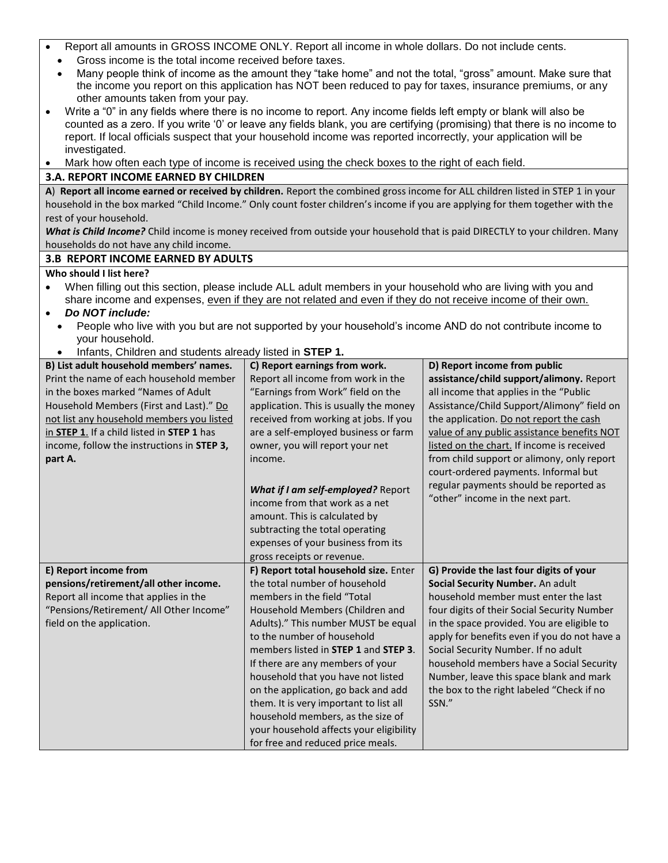- Report all amounts in GROSS INCOME ONLY. Report all income in whole dollars. Do not include cents.
	- Gross income is the total income received before taxes.
	- Many people think of income as the amount they "take home" and not the total, "gross" amount. Make sure that the income you report on this application has NOT been reduced to pay for taxes, insurance premiums, or any other amounts taken from your pay.
- Write a "0" in any fields where there is no income to report. Any income fields left empty or blank will also be counted as a zero. If you write '0' or leave any fields blank, you are certifying (promising) that there is no income to report. If local officials suspect that your household income was reported incorrectly, your application will be investigated.

Mark how often each type of income is received using the check boxes to the right of each field.

#### **3.A. REPORT INCOME EARNED BY CHILDREN**

**A**) **Report all income earned or received by children.** Report the combined gross income for ALL children listed in STEP 1 in your household in the box marked "Child Income." Only count foster children's income if you are applying for them together with the rest of your household.

*What is Child Income?* Child income is money received from outside your household that is paid DIRECTLY to your children. Many households do not have any child income.

#### **3.B REPORT INCOME EARNED BY ADULTS**

#### **Who should I list here?**

 When filling out this section, please include ALL adult members in your household who are living with you and share income and expenses, even if they are not related and even if they do not receive income of their own.

#### *Do NOT include:*

- People who live with you but are not supported by your household's income AND do not contribute income to your household.
- Infants, Children and students already listed in **STEP 1.**

| $m, m, \sigma$ , $\sigma$ material and etablished another method in $\sigma$ . $\blacksquare$<br>B) List adult household members' names. | C) Report earnings from work.           | D) Report income from public                 |  |
|------------------------------------------------------------------------------------------------------------------------------------------|-----------------------------------------|----------------------------------------------|--|
|                                                                                                                                          |                                         |                                              |  |
| Print the name of each household member                                                                                                  | Report all income from work in the      | assistance/child support/alimony. Report     |  |
| in the boxes marked "Names of Adult                                                                                                      | "Earnings from Work" field on the       | all income that applies in the "Public       |  |
| Household Members (First and Last)." Do                                                                                                  | application. This is usually the money  | Assistance/Child Support/Alimony" field on   |  |
| not list any household members you listed                                                                                                | received from working at jobs. If you   | the application. Do not report the cash      |  |
| in STEP 1. If a child listed in STEP 1 has                                                                                               | are a self-employed business or farm    | value of any public assistance benefits NOT  |  |
| income, follow the instructions in STEP 3,                                                                                               | owner, you will report your net         | listed on the chart. If income is received   |  |
| part A.                                                                                                                                  | income.                                 | from child support or alimony, only report   |  |
|                                                                                                                                          |                                         | court-ordered payments. Informal but         |  |
|                                                                                                                                          |                                         | regular payments should be reported as       |  |
|                                                                                                                                          | What if I am self-employed? Report      | "other" income in the next part.             |  |
|                                                                                                                                          | income from that work as a net          |                                              |  |
|                                                                                                                                          | amount. This is calculated by           |                                              |  |
|                                                                                                                                          | subtracting the total operating         |                                              |  |
|                                                                                                                                          | expenses of your business from its      |                                              |  |
|                                                                                                                                          | gross receipts or revenue.              |                                              |  |
| E) Report income from                                                                                                                    | F) Report total household size. Enter   | G) Provide the last four digits of your      |  |
| pensions/retirement/all other income.                                                                                                    | the total number of household           | Social Security Number. An adult             |  |
| Report all income that applies in the                                                                                                    | members in the field "Total             | household member must enter the last         |  |
| "Pensions/Retirement/ All Other Income"                                                                                                  | Household Members (Children and         | four digits of their Social Security Number  |  |
| field on the application.                                                                                                                | Adults)." This number MUST be equal     | in the space provided. You are eligible to   |  |
|                                                                                                                                          | to the number of household              | apply for benefits even if you do not have a |  |
|                                                                                                                                          | members listed in STEP 1 and STEP 3.    | Social Security Number. If no adult          |  |
|                                                                                                                                          | If there are any members of your        | household members have a Social Security     |  |
|                                                                                                                                          |                                         |                                              |  |
|                                                                                                                                          | household that you have not listed      | Number, leave this space blank and mark      |  |
|                                                                                                                                          | on the application, go back and add     | the box to the right labeled "Check if no    |  |
|                                                                                                                                          | them. It is very important to list all  | SSN."                                        |  |
|                                                                                                                                          | household members, as the size of       |                                              |  |
|                                                                                                                                          | your household affects your eligibility |                                              |  |
|                                                                                                                                          | for free and reduced price meals.       |                                              |  |